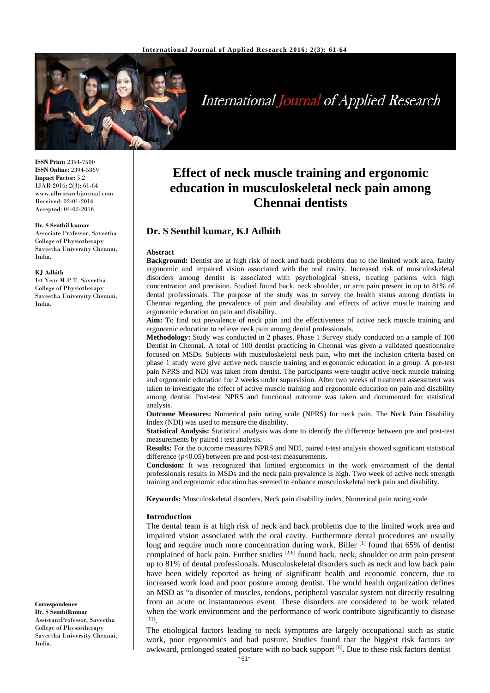

# **International Journal of Applied Research**

**ISSN Print:** 2394-7500 **ISSN Online:** 2394-5869 **Impact Factor:** 5.2 IJAR 2016; 2(3): 61-64 www.allresearchjournal.com Received: 02-01-2016 Accepted: 04-02-2016

#### **Dr. S Senthil kumar**

Associate Professor, Saveetha College of Physiotherapy Saveetha University Chennai, India.

#### **KJ Adhith**

Ist Year M.P.T, Saveetha College of Physiotherapy Saveetha University Chennai, India.

#### **Correspondence Dr. S Senthilkumar**

AssistantProfessor, Saveetha College of Physiotherapy Saveetha University Chennai, India.

# **Effect of neck muscle training and ergonomic education in musculoskeletal neck pain among Chennai dentists**

# **Dr. S Senthil kumar, KJ Adhith**

#### **Abstract**

**Background:** Dentist are at high risk of neck and back problems due to the limited work area, faulty ergonomic and impaired vision associated with the oral cavity. Increased risk of musculoskeletal disorders among dentist is associated with psychological stress, treating patients with high concentration and precision. Studied found back, neck shoulder, or arm pain present in up to 81% of dental professionals. The purpose of the study was to survey the health status among dentists in Chennai regarding the prevalence of pain and disability and effects of active muscle training and ergonomic education on pain and disability.

**Aim:** To find out prevalence of neck pain and the effectiveness of active neck muscle training and ergonomic education to relieve neck pain among dental professionals.

**Methodology:** Study was conducted in 2 phases. Phase 1 Survey study conducted on a sample of 100 Dentist in Chennai. A total of 100 dentist practicing in Chennai was given a validated questionnaire focused on MSDs. Subjects with musculoskeletal neck pain, who met the inclusion criteria based on phase 1 study were give active neck muscle training and ergonomic education in a group. A pre-test pain NPRS and NDI was taken from dentist. The participants were taught active neck muscle training and ergonomic education for 2 weeks under supervision. After two weeks of treatment assessment was taken to investigate the effect of active muscle training and ergonomic education on pain and disability among dentist. Post-test NPRS and functional outcome was taken and documented for statistical analysis.

**Outcome Measures:** Numerical pain rating scale (NPRS) for neck pain, The Neck Pain Disability Index (NDI) was used to measure the disability.

**Statistical Analysis:** Statistical analysis was done to identify the difference between pre and post-test measurements by paired t test analysis.

**Results:** For the outcome measures NPRS and NDI, paired t-test analysis showed significant statistical difference  $(p<0.05)$  between pre and post-test measurements.

**Conclusion:** It was recognized that limited ergonomics in the work environment of the dental professionals results in MSDs and the neck pain prevalence is high. Two week of active neck strength training and ergonomic education has seemed to enhance musculoskeletal neck pain and disability.

**Keywords:** Musculoskeletal disorders, Neck pain disability index, Numerical pain rating scale

#### **Introduction**

The dental team is at high risk of neck and back problems due to the limited work area and impaired vision associated with the oral cavity. Furthermore dental procedures are usually long and require much more concentration during work. Biller  $[1]$  found that 65% of dentist complained of back pain. Further studies <sup>[2-6]</sup> found back, neck, shoulder or arm pain present up to 81% of dental professionals. Musculoskeletal disorders such as neck and low back pain have been widely reported as being of significant health and economic concern, due to increased work load and poor posture among dentist. The world health organization defines an MSD as "a disorder of muscles, tendons, peripheral vascular system not directly resulting from an acute or instantaneous event. These disorders are considered to be work related when the work environment and the performance of work contribute significantly to disease [11].

The etiological factors leading to neck symptoms are largely occupational such as static work, poor ergonomics and bad posture. Studies found that the biggest risk factors are awkward, prolonged seated posture with no back support  $[8]$ . Due to these risk factors dentist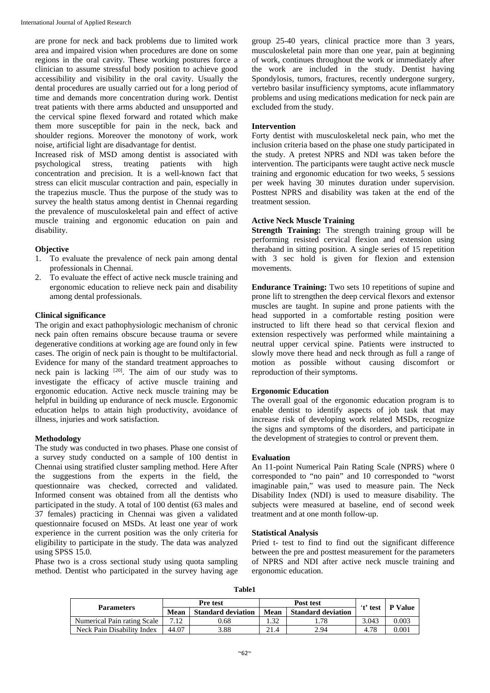are prone for neck and back problems due to limited work area and impaired vision when procedures are done on some regions in the oral cavity. These working postures force a clinician to assume stressful body position to achieve good accessibility and visibility in the oral cavity. Usually the dental procedures are usually carried out for a long period of time and demands more concentration during work. Dentist treat patients with there arms abducted and unsupported and the cervical spine flexed forward and rotated which make them more susceptible for pain in the neck, back and shoulder regions. Moreover the monotony of work, work noise, artificial light are disadvantage for dentist.

Increased risk of MSD among dentist is associated with psychological stress, treating patients with high concentration and precision. It is a well-known fact that stress can elicit muscular contraction and pain, especially in the trapezius muscle. Thus the purpose of the study was to survey the health status among dentist in Chennai regarding the prevalence of musculoskeletal pain and effect of active muscle training and ergonomic education on pain and disability.

### **Objective**

- 1. To evaluate the prevalence of neck pain among dental professionals in Chennai.
- 2. To evaluate the effect of active neck muscle training and ergonomic education to relieve neck pain and disability among dental professionals.

#### **Clinical significance**

The origin and exact pathophysiologic mechanism of chronic neck pain often remains obscure because trauma or severe degenerative conditions at working age are found only in few cases. The origin of neck pain is thought to be multifactorial. Evidence for many of the standard treatment approaches to neck pain is lacking [20]. The aim of our study was to investigate the efficacy of active muscle training and ergonomic education. Active neck muscle training may be helpful in building up endurance of neck muscle. Ergonomic education helps to attain high productivity, avoidance of illness, injuries and work satisfaction.

#### **Methodology**

The study was conducted in two phases. Phase one consist of a survey study conducted on a sample of 100 dentist in Chennai using stratified cluster sampling method. Here After the suggestions from the experts in the field, the questionnaire was checked, corrected and validated. Informed consent was obtained from all the dentists who participated in the study. A total of 100 dentist (63 males and 37 females) practicing in Chennai was given a validated questionnaire focused on MSDs. At least one year of work experience in the current position was the only criteria for eligibility to participate in the study. The data was analyzed using SPSS 15.0.

Phase two is a cross sectional study using quota sampling method. Dentist who participated in the survey having age group 25-40 years, clinical practice more than 3 years, musculoskeletal pain more than one year, pain at beginning of work, continues throughout the work or immediately after the work are included in the study. Dentist having Spondylosis, tumors, fractures, recently undergone surgery, vertebro basilar insufficiency symptoms, acute inflammatory problems and using medications medication for neck pain are excluded from the study.

#### **Intervention**

Forty dentist with musculoskeletal neck pain, who met the inclusion criteria based on the phase one study participated in the study. A pretest NPRS and NDI was taken before the intervention. The participants were taught active neck muscle training and ergonomic education for two weeks, 5 sessions per week having 30 minutes duration under supervision. Posttest NPRS and disability was taken at the end of the treatment session.

## **Active Neck Muscle Training**

**Strength Training:** The strength training group will be performing resisted cervical flexion and extension using theraband in sitting position. A single series of 15 repetition with 3 sec hold is given for flexion and extension movements.

**Endurance Training:** Two sets 10 repetitions of supine and prone lift to strengthen the deep cervical flexors and extensor muscles are taught. In supine and prone patients with the head supported in a comfortable resting position were instructed to lift there head so that cervical flexion and extension respectively was performed while maintaining a neutral upper cervical spine. Patients were instructed to slowly move there head and neck through as full a range of motion as possible without causing discomfort or reproduction of their symptoms.

# **Ergonomic Education**

The overall goal of the ergonomic education program is to enable dentist to identify aspects of job task that may increase risk of developing work related MSDs, recognize the signs and symptoms of the disorders, and participate in the development of strategies to control or prevent them.

#### **Evaluation**

An 11-point Numerical Pain Rating Scale (NPRS) where 0 corresponded to "no pain" and 10 corresponded to "worst imaginable pain," was used to measure pain. The Neck Disability Index (NDI) is used to measure disability. The subjects were measured at baseline, end of second week treatment and at one month follow-up.

#### **Statistical Analysis**

Pried t- test to find to find out the significant difference between the pre and posttest measurement for the parameters of NPRS and NDI after active neck muscle training and ergonomic education.

| v<br>-<br>۰.<br>×<br>v<br>۰. |
|------------------------------|
|------------------------------|

| <b>Parameters</b>           | <b>Pre test</b> |                           | Post test |                           | 't' test | <b>P</b> Value |
|-----------------------------|-----------------|---------------------------|-----------|---------------------------|----------|----------------|
|                             | Mean            | <b>Standard deviation</b> | Mean      | <b>Standard deviation</b> |          |                |
| Numerical Pain rating Scale | .12             | 9.68                      | .32       | .78                       | 3.043    | 0.003          |
| Neck Pain Disability Index  | 44.07           | .88                       | 21.4      | 2.94                      | 4.78     | 0.001          |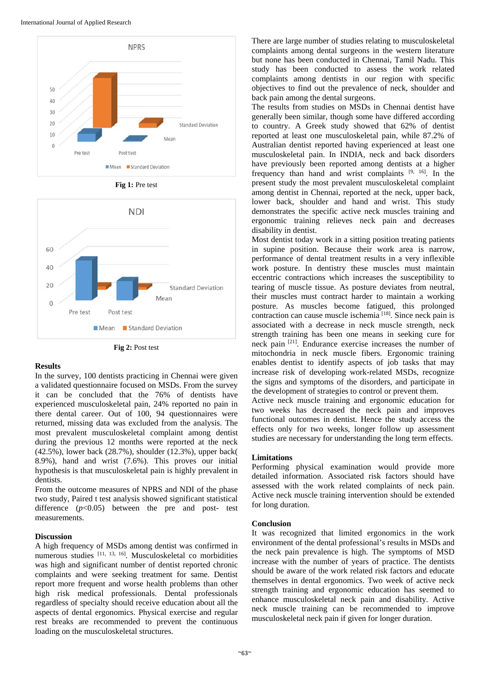International Journal of Applied Research



**Fig 1:** Pre test



**Fig 2:** Post test

#### **Results**

In the survey, 100 dentists practicing in Chennai were given a validated questionnaire focused on MSDs. From the survey it can be concluded that the 76% of dentists have experienced musculoskeletal pain, 24% reported no pain in there dental career. Out of 100, 94 questionnaires were returned, missing data was excluded from the analysis. The most prevalent musculoskeletal complaint among dentist during the previous 12 months were reported at the neck (42.5%), lower back (28.7%), shoulder (12.3%), upper back( 8.9%), hand and wrist (7.6%). This proves our initial hypothesis is that musculoskeletal pain is highly prevalent in dentists.

From the outcome measures of NPRS and NDI of the phase two study, Paired t test analysis showed significant statistical difference  $(p<0.05)$  between the pre and post- test measurements.

#### **Discussion**

A high frequency of MSDs among dentist was confirmed in numerous studies [11, 13, 16]. Musculoskeletal co morbidities was high and significant number of dentist reported chronic complaints and were seeking treatment for same. Dentist report more frequent and worse health problems than other high risk medical professionals. Dental professionals regardless of specialty should receive education about all the aspects of dental ergonomics. Physical exercise and regular rest breaks are recommended to prevent the continuous loading on the musculoskeletal structures.

There are large number of studies relating to musculoskeletal complaints among dental surgeons in the western literature but none has been conducted in Chennai, Tamil Nadu. This study has been conducted to assess the work related complaints among dentists in our region with specific objectives to find out the prevalence of neck, shoulder and back pain among the dental surgeons.

The results from studies on MSDs in Chennai dentist have generally been similar, though some have differed according to country. A Greek study showed that 62% of dentist reported at least one musculoskeletal pain, while 87.2% of Australian dentist reported having experienced at least one musculoskeletal pain. In INDIA, neck and back disorders have previously been reported among dentists at a higher frequency than hand and wrist complaints  $[9, 16]$ . In the present study the most prevalent musculoskeletal complaint among dentist in Chennai, reported at the neck, upper back, lower back, shoulder and hand and wrist. This study demonstrates the specific active neck muscles training and ergonomic training relieves neck pain and decreases disability in dentist.

Most dentist today work in a sitting position treating patients in supine position. Because their work area is narrow, performance of dental treatment results in a very inflexible work posture. In dentistry these muscles must maintain eccentric contractions which increases the susceptibility to tearing of muscle tissue. As posture deviates from neutral, their muscles must contract harder to maintain a working posture. As muscles become fatigued, this prolonged contraction can cause muscle ischemia [18]. Since neck pain is associated with a decrease in neck muscle strength, neck strength training has been one means in seeking cure for neck pain [21]. Endurance exercise increases the number of mitochondria in neck muscle fibers. Ergonomic training enables dentist to identify aspects of job tasks that may increase risk of developing work-related MSDs, recognize the signs and symptoms of the disorders, and participate in the development of strategies to control or prevent them.

Active neck muscle training and ergonomic education for two weeks has decreased the neck pain and improves functional outcomes in dentist. Hence the study access the effects only for two weeks, longer follow up assessment studies are necessary for understanding the long term effects.

#### **Limitations**

Performing physical examination would provide more detailed information. Associated risk factors should have assessed with the work related complaints of neck pain. Active neck muscle training intervention should be extended for long duration.

#### **Conclusion**

It was recognized that limited ergonomics in the work environment of the dental professional's results in MSDs and the neck pain prevalence is high. The symptoms of MSD increase with the number of years of practice. The dentists should be aware of the work related risk factors and educate themselves in dental ergonomics. Two week of active neck strength training and ergonomic education has seemed to enhance musculoskeletal neck pain and disability. Active neck muscle training can be recommended to improve musculoskeletal neck pain if given for longer duration.